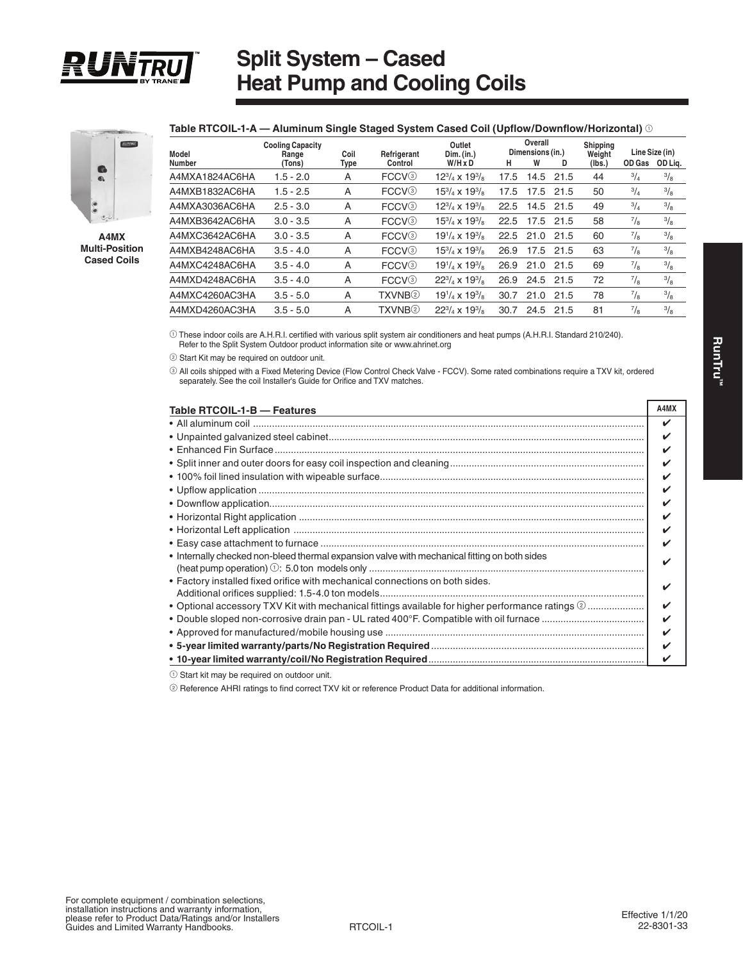

## **Split System – Cased Heat Pump and Cooling Coils**



**A4MX Multi-Position Cased Coils**

| Model<br>Number | <b>Cooling Capacity</b><br>Range<br>(Tons | Coil<br>Type | Refrigerant<br>Control    | Outlet<br>Dim. (in.)<br>$W/H \times D$ | н    | Overall<br>Dimensions (in.)<br>W | D    | Shipping<br>Weight<br>(Ibs.) | OD Gas        | Line Size (in)<br>OD Liq. |
|-----------------|-------------------------------------------|--------------|---------------------------|----------------------------------------|------|----------------------------------|------|------------------------------|---------------|---------------------------|
| A4MXA1824AC6HA  | $1.5 - 2.0$                               | A            | FCCV <sup>3</sup>         | $12^{3}/_{4} \times 19^{3}/_{8}$       | 17.5 | 14.5                             | 21.5 | 44                           | $^{3}/_{4}$   | $\frac{3}{8}$             |
| A4MXB1832AC6HA  | $1.5 - 2.5$                               | A            | FCCV <sup>3</sup>         | $15^{3}/_{4}$ x $19^{3}/_{8}$          | 17.5 | 17.5                             | 21.5 | 50                           | $^{3}/_{4}$   | $\frac{3}{8}$             |
| A4MXA3036AC6HA  | $2.5 - 3.0$                               | A            | <b>FCCV</b> <sup>3</sup>  | $12^{3}/_{4} \times 19^{3}/_{8}$       | 22.5 | 14.5                             | 21.5 | 49                           | $^{3}/_{4}$   | $\frac{3}{8}$             |
| A4MXB3642AC6HA  | $3.0 - 3.5$                               | A            | FCCV <sup>3</sup>         | $15^{3}/_{4}$ x $19^{3}/_{8}$          | 22.5 | 17.5                             | 21.5 | 58                           | $^{7}/_8$     | $\frac{3}{8}$             |
| A4MXC3642AC6HA  | $3.0 - 3.5$                               | A            | FCCV <sup>3</sup>         | $19^{1}/_4 \times 19^{3}/_8$           | 22.5 | 21.0                             | 21.5 | 60                           | $\frac{7}{8}$ | $\frac{3}{8}$             |
| A4MXB4248AC6HA  | $3.5 - 4.0$                               | A            | FCCV <sup>3</sup>         | $15^{3}/_{4} \times 19^{3}/_{8}$       | 26.9 | 17.5                             | 21.5 | 63                           | $^{7}/_8$     | $^{3}/_{8}$               |
| A4MXC4248AC6HA  | $3.5 - 4.0$                               | A            | FCCV <sup>3</sup>         | $19^{1}/_4 \times 19^{3}/_8$           | 26.9 | 21.0                             | 21.5 | 69                           | $^{7}/_8$     | $\frac{3}{8}$             |
| A4MXD4248AC6HA  | $3.5 - 4.0$                               | A            | <b>FCCV</b> <sup>3</sup>  | $22^{3}/_{4} \times 19^{3}/_{8}$       | 26.9 | 24.5                             | 21.5 | 72                           | $^{7}/_8$     | $\frac{3}{8}$             |
| A4MXC4260AC3HA  | $3.5 - 5.0$                               | A            | <b>TXVNB</b> <sup>2</sup> | $19^{1}/_4 \times 19^{3}/_8$           | 30.7 | 21.0                             | 21.5 | 78                           | $^{7}/_8$     | $\frac{3}{8}$             |
| A4MXD4260AC3HA  | $3.5 - 5.0$                               | A            | <b>TXVNB</b> ②            | $22^{3}/_{4} \times 19^{3}/_{8}$       | 30.7 | 24.5                             | 21.5 | 81                           | $^{7}/_8$     | $\frac{3}{8}$             |
|                 |                                           |              |                           |                                        |      |                                  |      |                              |               |                           |

**Table RTCOIL-1-A — Aluminum Single Staged System Cased Coil (Upflow/Downflow/Horizontal)** 1

1 These indoor coils are A.H.R.I. certified with various split system air conditioners and heat pumps (A.H.R.I. Standard 210/240). Refer to the Split System Outdoor product information site or www.ahrinet.org

2 Start Kit may be required on outdoor unit.

3 All coils shipped with a Fixed Metering Device (Flow Control Check Valve - FCCV). Some rated combinations require a TXV kit, ordered separately. See the coil Installer's Guide for Orifice and TXV matches.

| Table RTCOIL-1-B - Features                                                                      | A4MX |
|--------------------------------------------------------------------------------------------------|------|
|                                                                                                  |      |
|                                                                                                  |      |
|                                                                                                  |      |
|                                                                                                  |      |
|                                                                                                  |      |
|                                                                                                  |      |
|                                                                                                  |      |
|                                                                                                  |      |
|                                                                                                  |      |
|                                                                                                  |      |
| • Internally checked non-bleed thermal expansion valve with mechanical fitting on both sides     |      |
|                                                                                                  |      |
| • Factory installed fixed orifice with mechanical connections on both sides.                     |      |
|                                                                                                  |      |
| • Optional accessory TXV Kit with mechanical fittings available for higher performance ratings 2 |      |
|                                                                                                  |      |
|                                                                                                  |      |
|                                                                                                  |      |
|                                                                                                  |      |

 $10$  Start kit may be required on outdoor unit.

2 Reference AHRI ratings to find correct TXV kit or reference Product Data for additional information.